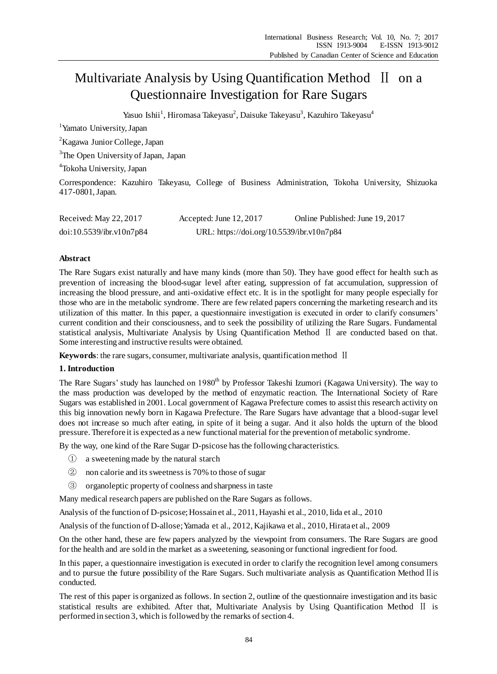# Multivariate Analysis by Using Quantification Method II on a Questionnaire Investigation for Rare Sugars

Yasuo Ishii<sup>1</sup>, Hiromasa Takeyasu<sup>2</sup>, Daisuke Takeyasu<sup>3</sup>, Kazuhiro Takeyasu<sup>4</sup>

<sup>1</sup>Yamato University, Japan

<sup>2</sup>Kagawa Junior College, Japan

<sup>3</sup>The Open University of Japan, Japan

4 Tokoha University, Japan

Correspondence: Kazuhiro Takeyasu, College of Business Administration, Tokoha University, Shizuoka 417-0801,Japan.

| Received: May 22, 2017   | Accepted: June $12,2017$                  | Online Published: June 19, 2017 |
|--------------------------|-------------------------------------------|---------------------------------|
| doi:10.5539/ibr.v10n7p84 | URL: https://doi.org/10.5539/ibr.v10n7p84 |                                 |

# **Abstract**

The Rare Sugars exist naturally and have many kinds (more than 50). They have good effect for health such as prevention of increasing the blood-sugar level after eating, suppression of fat accumulation, suppression of increasing the blood pressure, and anti-oxidative effect etc. It is in the spotlight for many people especially for those who are in the metabolic syndrome. There are few related papers concerning the marketing research and its utilization of this matter. In this paper, a questionnaire investigation is executed in order to clarify consumers' current condition and their consciousness, and to seek the possibility of utilizing the Rare Sugars. Fundamental statistical analysis, Multivariate Analysis by Using Quantification Method Ⅱ are conducted based on that. Some interesting and instructive results were obtained.

**Keywords**: the rare sugars, consumer, multivariate analysis, quantification method Ⅱ

## **1. Introduction**

The Rare Sugars' study has launched on 1980<sup>th</sup> by Professor Takeshi Izumori (Kagawa University). The way to the mass production was developed by the method of enzymatic reaction. The International Society of Rare Sugars was established in 2001. Local government of Kagawa Prefecture comes to assist this research activity on this big innovation newly born in Kagawa Prefecture. The Rare Sugars have advantage that a blood-sugar level does not increase so much after eating, in spite of it being a sugar. And it also holds the upturn of the blood pressure. Therefore it is expected as a new functional material for the prevention of metabolic syndrome.

By the way, one kind of the Rare Sugar D-psicose has the following characteristics.

- ① a sweetening made by the natural starch
- ② non calorie and its sweetness is 70% to those of sugar
- ③ organoleptic property of coolness and sharpness in taste

Many medical research papers are published on the Rare Sugars as follows.

Analysis of the function of D-psicose; Hossain et al., 2011, Hayashi et al., 2010, Iida et al., 2010

Analysis of the function of D-allose; Yamada et al., 2012, Kajikawa et al., 2010, Hirata et al., 2009

On the other hand, these are few papers analyzed by the viewpoint from consumers. The Rare Sugars are good for the health and are sold in the market as a sweetening, seasoning or functional ingredient for food.

In this paper, a questionnaire investigation is executed in order to clarify the recognition level among consumers and to pursue the future possibility of the Rare Sugars. Such multivariate analysis as Quantification Method II is conducted.

The rest of this paper is organized as follows. In section 2, outline of the questionnaire investigation and its basic statistical results are exhibited. After that, Multivariate Analysis by Using Quantification Method Ⅱ is performed in section 3, which is followed by the remarks of section 4.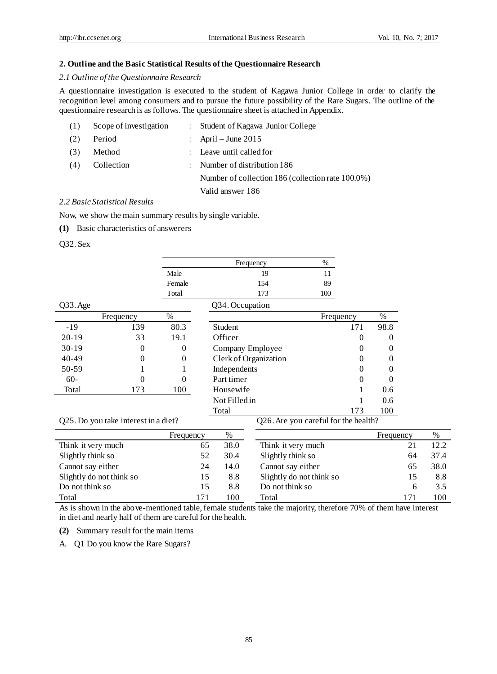#### **2. Outline and the Basic Statistical Results of the Questionnaire Research**

## *2.1 Outline of the Questionnaire Research*

A questionnaire investigation is executed to the student of Kagawa Junior College in order to clarify the recognition level among consumers and to pursue the future possibility of the Rare Sugars. The outline of the questionnaire research is as follows. The questionnaire sheet is attached in Appendix.

| (1) | Scope of investigation | : Student of Kagawa Junior College                |
|-----|------------------------|---------------------------------------------------|
| (2) | Period                 | : April – June 2015                               |
| (3) | Method                 | $\therefore$ Leave until called for               |
| (4) | Collection             | : Number of distribution $186$                    |
|     |                        | Number of collection 186 (collection rate 100.0%) |
|     |                        | Valid answer 186                                  |
|     |                        |                                                   |

#### *2.2 Basic Statistical Results*

Now, we show the main summary results by single variable.

**(1)** Basic characteristics of answerers

Q32. Sex

| Male   |                                      |            | 19                | 11                                                                                                         |                                                               |           |                                      |           |
|--------|--------------------------------------|------------|-------------------|------------------------------------------------------------------------------------------------------------|---------------------------------------------------------------|-----------|--------------------------------------|-----------|
| Female |                                      |            | 154               | 89                                                                                                         |                                                               |           |                                      |           |
| Total  |                                      |            | 173               |                                                                                                            |                                                               |           |                                      |           |
|        |                                      |            |                   |                                                                                                            |                                                               |           |                                      |           |
| $\%$   |                                      |            |                   |                                                                                                            |                                                               | $\%$      |                                      |           |
| 80.3   |                                      | Student    |                   |                                                                                                            | 171                                                           | 98.8      |                                      |           |
| 19.1   |                                      | Officer    |                   |                                                                                                            | $\theta$                                                      | 0         |                                      |           |
| 0      |                                      |            |                   |                                                                                                            | $\theta$                                                      | $\theta$  |                                      |           |
| 0      |                                      |            |                   |                                                                                                            | $\theta$                                                      | 0         |                                      |           |
| 1      |                                      |            |                   |                                                                                                            | 0                                                             | 0         |                                      |           |
| 0      |                                      | Part timer |                   |                                                                                                            | 0                                                             | 0         |                                      |           |
| 100    |                                      | Housewife  |                   |                                                                                                            | 1                                                             | 0.6       |                                      |           |
|        |                                      |            |                   |                                                                                                            | 1                                                             | 0.6       |                                      |           |
|        |                                      | Total      |                   |                                                                                                            | 173                                                           | 100       |                                      |           |
|        |                                      |            |                   |                                                                                                            |                                                               |           |                                      |           |
|        |                                      | $\%$       |                   |                                                                                                            |                                                               |           |                                      | $\%$      |
|        | 65                                   | 38.0       |                   |                                                                                                            |                                                               |           | 21                                   | 12.2      |
|        | 52                                   | 30.4       | Slightly think so |                                                                                                            |                                                               |           | 64                                   | 37.4      |
|        | 24                                   | 14.0       | Cannot say either |                                                                                                            |                                                               |           | 65                                   | 38.0      |
|        | 15                                   | 8.8        |                   |                                                                                                            |                                                               |           | 15                                   | 8.8       |
|        | 15                                   | 8.8        | Do not think so   |                                                                                                            |                                                               |           | 6                                    | 3.5       |
|        | 171                                  | 100        | Total             |                                                                                                            |                                                               |           | 171                                  | 100       |
|        | Q25. Do you take interest in a diet? | Frequency  |                   | Frequency<br>Q34. Occupation<br>Company Employee<br>Clerk of Organization<br>Independents<br>Not Filled in | $\%$<br>100<br>Think it very much<br>Slightly do not think so | Frequency | Q26. Are you careful for the health? | Frequency |

As is shown in the above-mentioned table, female students take the majority, therefore 70% of them have interest in diet and nearly half of them are careful for the health.

**(2)** Summary result for the main items

A. Q1 Do you know the Rare Sugars?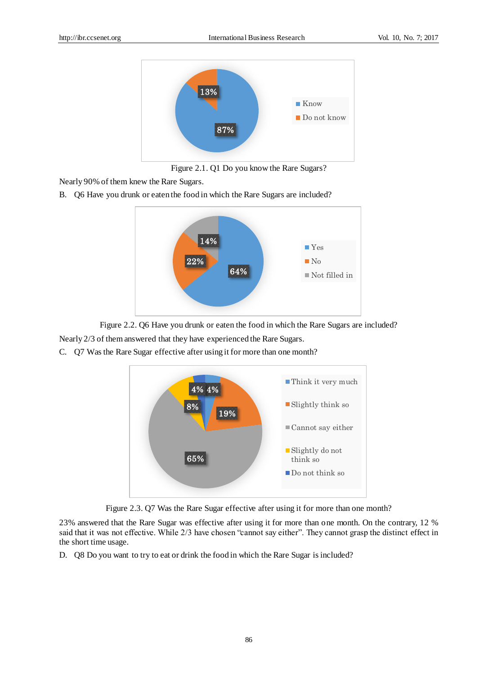

Figure 2.1. Q1 Do you know the Rare Sugars?

Nearly 90% of them knew the Rare Sugars.

B. Q6 Have you drunk or eaten the food in which the Rare Sugars are included?



Figure 2.2. Q6 Have you drunk or eaten the food in which the Rare Sugars are included?

Nearly 2/3 of them answered that they have experienced the Rare Sugars.

C. Q7 Was the Rare Sugar effective after using it for more than one month?



Figure 2.3. Q7 Was the Rare Sugar effective after using it for more than one month?

23% answered that the Rare Sugar was effective after using it for more than one month. On the contrary, 12 % said that it was not effective. While 2/3 have chosen "cannot say either". They cannot grasp the distinct effect in the short time usage.

D. Q8 Do you want to try to eat or drink the food in which the Rare Sugar is included?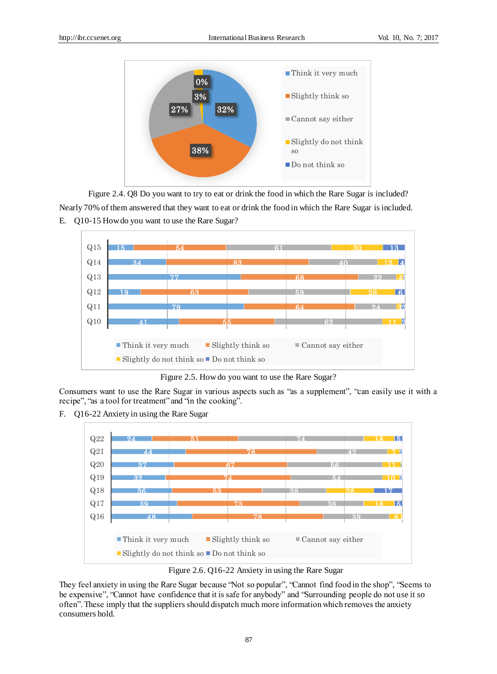

Figure 2.4. Q8 Do you want to try to eat or drink the food in which the Rare Sugar is included? Nearly 70% of them answered that they want to eat or drink the food in which the Rare Sugar is included. E. Q10-15 How do you want to use the Rare Sugar?



Figure 2.5. How do you want to use the Rare Sugar?

Consumers want to use the Rare Sugar in various aspects such as "as a supplement", "can easily use it with a recipe", "as a tool for treatment" and "in the cooking".

F. Q16-22 Anxiety in using the Rare Sugar



Figure 2.6. Q16-22 Anxiety in using the Rare Sugar

They feel anxiety in using the Rare Sugar because "Not so popular", "Cannot find food in the shop", "Seems to be expensive", "Cannot have confidence that it is safe for anybody" and "Surrounding people do not use it so often". These imply that the suppliers should dispatch much more information which removes the anxiety consumers hold.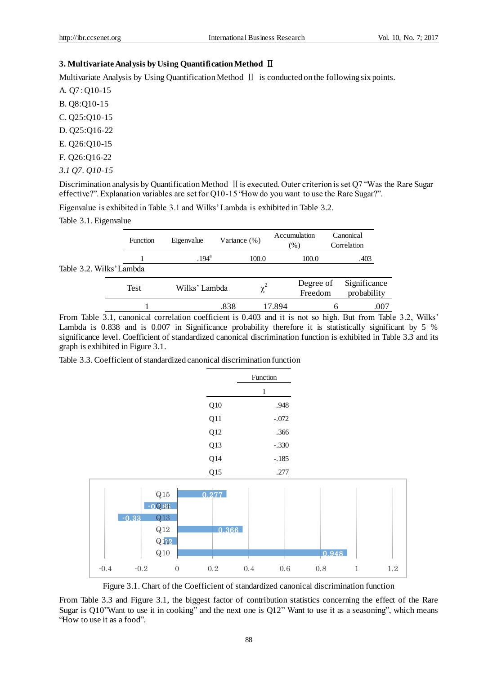#### **3. Multivariate Analysis by Using Quantification Method** Ⅱ

Multivariate Analysis by Using Quantification Method II is conducted on the following six points.

A. Q7:Q10-15

- B. Q8:Q10-15
- C. Q25:Q10-15
- D. Q25:Q16-22
- E. Q26:Q10-15
- F. Q26:Q16-22
- *3.1 Q7. Q10-15*

Discrimination analysis by Quantification Method II is executed. Outer criterion is set Q7 "Was the Rare Sugar effective?". Explanation variables are set for Q10-15 "How do you want to use the Rare Sugar?".

Eigenvalue is exhibited in Table 3.1 and Wilks' Lambda is exhibited in Table 3.2.

Table 3.1. Eigenvalue

|                          | Function | Variance (%)<br>Eigenvalue |      |          | Accumulation<br>$(\%)$ | Canonical<br>Correlation    |
|--------------------------|----------|----------------------------|------|----------|------------------------|-----------------------------|
|                          |          | $.194^{\rm a}$             |      | 100.0    | 100.0                  | .403                        |
| Table 3.2. Wilks' Lambda |          |                            |      |          |                        |                             |
|                          | Test     | Wilks' Lambda              |      | $\chi^2$ | Degree of<br>Freedom   | Significance<br>probability |
|                          |          |                            | .838 | 17.894   |                        | .007                        |

From Table 3.1, canonical correlation coefficient is 0.403 and it is not so high. But from Table 3.2, Wilks' Lambda is 0.838 and is 0.007 in Significance probability therefore it is statistically significant by 5 % significance level. Coefficient of standardized canonical discrimination function is exhibited in Table 3.3 and its graph is exhibited in Figure 3.1.

Table 3.3.Coefficient of standardized canonical discrimination function



Figure 3.1. Chart of the Coefficient of standardized canonical discrimination function

From Table 3.3 and Figure 3.1, the biggest factor of contribution statistics concerning the effect of the Rare Sugar is Q10"Want to use it in cooking" and the next one is Q12" Want to use it as a seasoning", which means "How to use it as a food".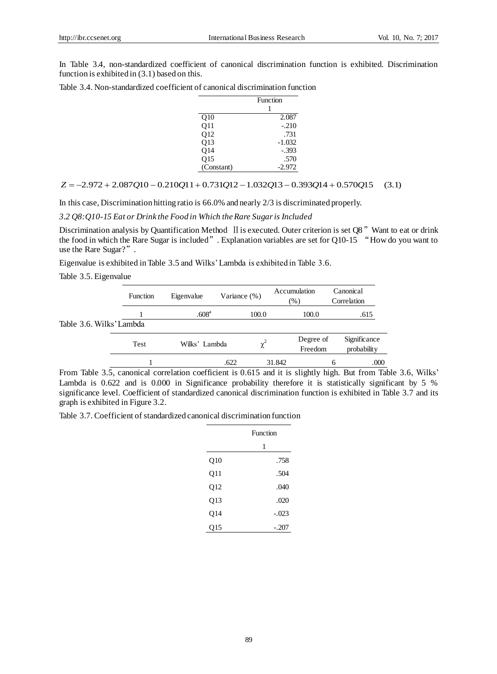In Table 3.4, non-standardized coefficient of canonical discrimination function is exhibited. Discrimination function is exhibited in (3.1) based on this.

|                 | Function |
|-----------------|----------|
|                 |          |
| O <sub>10</sub> | 2.087    |
| Q11             | $-.210$  |
| O <sub>12</sub> | .731     |
| O <sub>13</sub> | $-1.032$ |
| O <sub>14</sub> | $-.393$  |
| O <sub>15</sub> | .570     |
| (Constant)      | $-2.972$ |

 $Z = -2.972 + 2.087Q10 - 0.210Q11 + 0.731Q12 - 1.032Q13 - 0.393Q14 + 0.570Q15$  (3.1)

In this case, Discrimination hitting ratio is 66.0% and nearly 2/3 is discriminated properly.

*3.2 Q8:Q10-15 Eat or Drink the Food in Which the Rare Sugar is Included*

Discrimination analysis by Quantification Method II is executed. Outer criterion is set Q8" Want to eat or drink the food in which the Rare Sugar is included". Explanation variables are set for Q10-15 "How do you want to use the Rare Sugar?".

Eigenvalue is exhibited in Table 3.5 and Wilks' Lambda is exhibited in Table 3.6.

Table 3.5. Eigenvalue

|                          | Function | Eigenvalue        | Variance (%) |          | Accumulation<br>$\frac{9}{6}$ |   | Canonical<br>Correlation |
|--------------------------|----------|-------------------|--------------|----------|-------------------------------|---|--------------------------|
| Table 3.6. Wilks' Lambda |          | .608 <sup>a</sup> |              | 100.0    | 100.0                         |   | .615                     |
|                          |          |                   |              |          | Degree of                     |   | Significance             |
|                          | Test     | Wilks' Lambda     |              | $\chi^2$ | Freedom                       |   | probability              |
|                          |          |                   | .622         |          | 31.842                        | 6 | .000                     |

From Table 3.5, canonical correlation coefficient is 0.615 and it is slightly high. But from Table 3.6, Wilks' Lambda is 0.622 and is 0.000 in Significance probability therefore it is statistically significant by 5 % significance level. Coefficient of standardized canonical discrimination function is exhibited in Table 3.7 and its graph is exhibited in Figure 3.2.

Table 3.7.Coefficient of standardized canonical discrimination function

|     | Function |
|-----|----------|
|     | 1        |
| Q10 | .758     |
| Q11 | .504     |
| Q12 | .040     |
| Q13 | .020     |
| Q14 | $-.023$  |
| O15 | -.207    |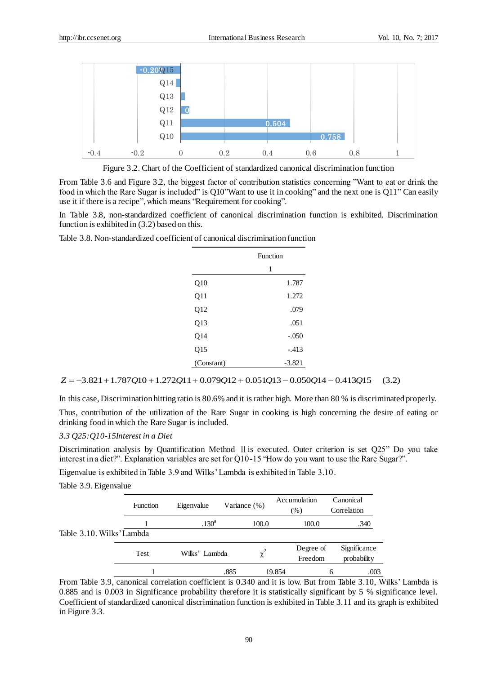

Figure 3.2. Chart of the Coefficient of standardized canonical discrimination function

From Table 3.6 and Figure 3.2, the biggest factor of contribution statistics concerning "Want to eat or drink the food in which the Rare Sugar is included" is Q10"Want to use it in cooking" and the next one is Q11" Can easily use it if there is a recipe", which means "Requirement for cooking".

In Table 3.8, non-standardized coefficient of canonical discrimination function is exhibited. Discrimination function is exhibited in (3.2) based on this.

|            | Function |
|------------|----------|
|            | 1        |
| Q10        | 1.787    |
| Q11        | 1.272    |
| Q12        | .079     |
| Q13        | .051     |
| Q14        | $-.050$  |
| Q15        | $-.413$  |
| (Constant) | $-3.821$ |

# *Z* = -3.821 + 1.787*Q*10 + 1.272*Q*11 + 0.079*Q*12 + 0.051*Q*13 - 0.050*Q*14 - 0.413*Q*15 (3.2)

In this case, Discrimination hitting ratio is 80.6% and it is rather high. More than 80 % is discriminated properly.

Thus, contribution of the utilization of the Rare Sugar in cooking is high concerning the desire of eating or drinking food in which the Rare Sugar is included.

#### *3.3 Q25:Q10-15Interest in a Diet*

Discrimination analysis by Quantification Method II is executed. Outer criterion is set Q25" Do you take interest in a diet?". Explanation variables are set for Q10-15 "How do you want to use the Rare Sugar?".

Eigenvalue is exhibited in Table 3.9 and Wilks' Lambda is exhibited in Table 3.10.

Table 3.9. Eigenvalue

|                           | Function | Eigenvalue        | Variance (%) | Accumulation<br>(%)  | Canonical<br>Correlation    |
|---------------------------|----------|-------------------|--------------|----------------------|-----------------------------|
|                           |          | .130 <sup>a</sup> | 100.0        | 100.0                | .340                        |
| Table 3.10. Wilks' Lambda |          |                   |              |                      |                             |
|                           | Test     | Wilks' Lambda     | $\chi^2$     | Degree of<br>Freedom | Significance<br>probability |
|                           |          |                   | .885         | 19.854               | .003<br>h                   |

From Table 3.9, canonical correlation coefficient is 0.340 and it is low. But from Table 3.10, Wilks' Lambda is 0.885 and is 0.003 in Significance probability therefore it is statistically significant by 5 % significance level. Coefficient of standardized canonical discrimination function is exhibited in Table 3.11 and its graph is exhibited in Figure 3.3.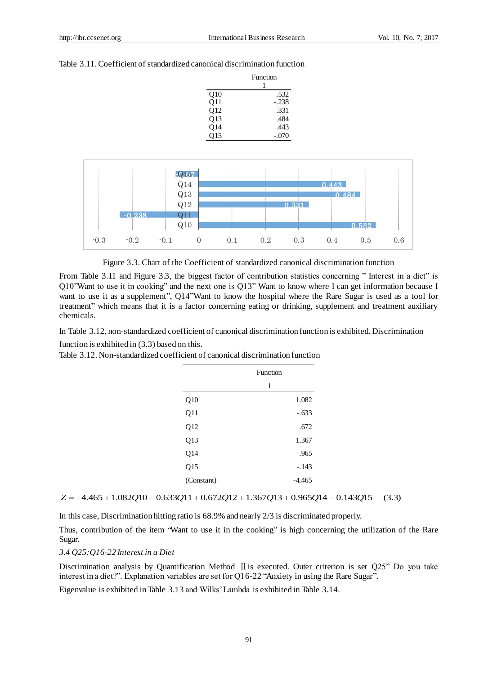Q10 .532<br>O11 .238  $\overline{Q}$ 11 -.238<br> $\overline{Q}$ 12 .331 Q12 .331<br>O13 .484 Q13 .484<br>Q14 .443 Q14 .443<br>Q15 .070

Q15

Function 1

|          | $-Q157$ |  |       |       |       |  |
|----------|---------|--|-------|-------|-------|--|
|          | Q14     |  |       | 0.443 |       |  |
|          | Q13     |  |       | 0.484 |       |  |
|          | Q12     |  | 0.331 |       |       |  |
| $-0.238$ | Q11     |  |       |       |       |  |
|          | Q10     |  |       |       | 0.532 |  |

#### Table 3.11.Coefficient of standardized canonical discrimination function



From Table 3.11 and Figure 3.3, the biggest factor of contribution statistics concerning " Interest in a diet" is Q10"Want to use it in cooking" and the next one is Q13" Want to know where I can get information because I want to use it as a supplement", Q14"Want to know the hospital where the Rare Sugar is used as a tool for treatment" which means that it is a factor concerning eating or drinking, supplement and treatment auxiliary chemicals.

In Table 3.12, non-standardized coefficient of canonical discrimination function is exhibited. Discrimination function is exhibited in (3.3) based on this.

| Table 3.12. Non-standardized coefficient of canonical discrimination function |  |
|-------------------------------------------------------------------------------|--|
|-------------------------------------------------------------------------------|--|

|                 | Function |          |
|-----------------|----------|----------|
|                 | 1        |          |
| Q10             |          | 1.082    |
| Q <sub>11</sub> |          | $-.633$  |
| Q12             |          | .672     |
| Q13             |          | 1.367    |
| Q14             |          | .965     |
| Q15             |          | $-.143$  |
| (Constant)      |          | $-4.465$ |

# *Z* =  $-4.465 + 1.082Q10 - 0.633Q11 + 0.672Q12 + 1.367Q13 + 0.965Q14 - 0.143Q15$  (3.3)

In this case, Discrimination hitting ratio is 68.9% and nearly 2/3 is discriminated properly.

Thus, contribution of the item "Want to use it in the cooking" is high concerning the utilization of the Rare Sugar.

#### *3.4 Q25:Q16-22 Interest in a Diet*

Discrimination analysis by Quantification Method II is executed. Outer criterion is set Q25" Do you take interest in a diet?". Explanation variables are set for Q16-22 "Anxiety in using the Rare Sugar".

Eigenvalue is exhibited in Table 3.13 and Wilks' Lambda is exhibited in Table 3.14.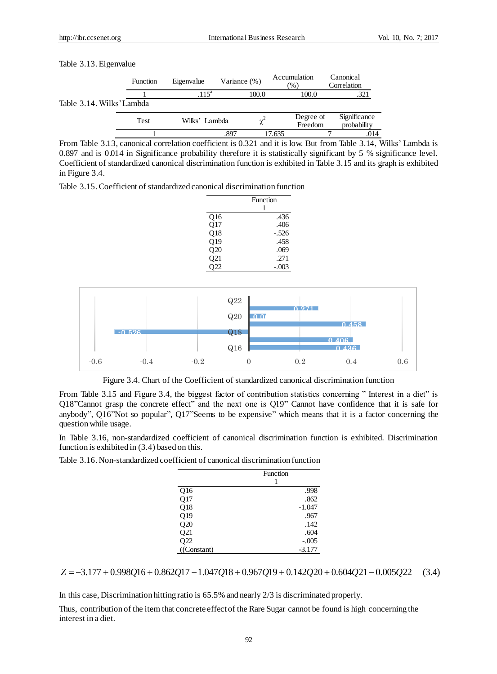Table 3.13. Eigenvalue

|                           | <b>Function</b> | Eigenvalue    | Variance (%) |                | Accumulation<br>$\frac{9}{6}$ ) | Canonical<br>Correlation    |
|---------------------------|-----------------|---------------|--------------|----------------|---------------------------------|-----------------------------|
|                           |                 | $115^{\circ}$ |              | 100.0          | 100.0                           | .321                        |
| Table 3.14. Wilks' Lambda |                 |               |              |                |                                 |                             |
|                           | Test            | Wilks' Lambda |              | $\mathbf{v}^2$ | Degree of<br>Freedom            | Significance<br>probability |
|                           |                 |               | .897         | 17.635         |                                 | .014                        |

From Table 3.13, canonical correlation coefficient is 0.321 and it is low. But from Table 3.14, Wilks' Lambda is 0.897 and is 0.014 in Significance probability therefore it is statistically significant by 5 % significance level. Coefficient of standardized canonical discrimination function is exhibited in Table 3.15 and its graph is exhibited in Figure 3.4.

Table 3.15. Coefficient of standardized canonical discrimination function

|                 | Function |
|-----------------|----------|
| O <sub>16</sub> | .436     |
| Q17             | .406     |
| O18             | $-.526$  |
| O <sub>19</sub> | .458     |
| Q20             | .069     |
| Q21             | .271     |
| O <sub>22</sub> | $-.003$  |
|                 |          |



Figure 3.4. Chart of the Coefficient of standardized canonical discrimination function

From Table 3.15 and Figure 3.4, the biggest factor of contribution statistics concerning " Interest in a diet" is Q18"Cannot grasp the concrete effect" and the next one is Q19" Cannot have confidence that it is safe for anybody", Q16"Not so popular", Q17"Seems to be expensive" which means that it is a factor concerning the question while usage.

In Table 3.16, non-standardized coefficient of canonical discrimination function is exhibited. Discrimination function is exhibited in (3.4) based on this.

|                 | Function |
|-----------------|----------|
|                 |          |
| Q16             | .998     |
| Q17             | .862     |
| Q18             | $-1.047$ |
| Q19             | .967     |
| Q20             | .142     |
| Q <sub>21</sub> | .604     |
| Q22             | $-.005$  |
| ((Constant)     | $-3.177$ |

*Z* = -3.177 + 0.998*Q*16 + 0.862*Q*17 - 1.047*Q*18 + 0.967*Q*19 + 0.142*Q*20 + 0.604*Q*21 - 0.005*Q*22 (3.4)

In this case, Discrimination hitting ratio is 65.5% and nearly 2/3 is discriminated properly.

Thus, contribution of the item that concrete effect of the Rare Sugar cannot be found is high concerning the interest in a diet.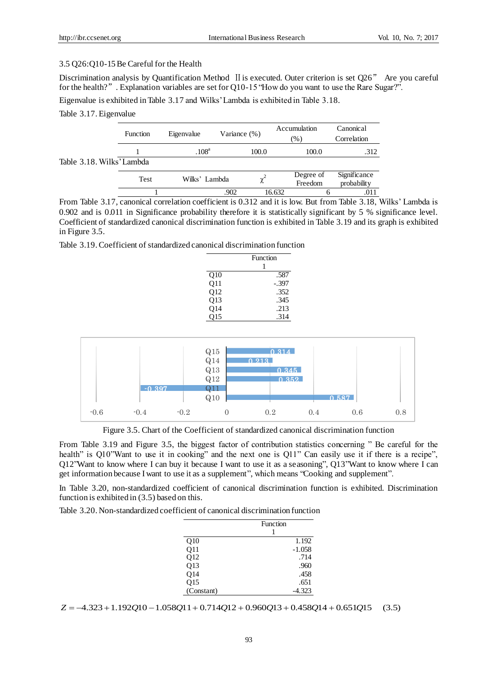#### 3.5 Q26:Q10-15Be Careful for the Health

Discrimination analysis by Quantification Method II is executed. Outer criterion is set Q26" Are you careful for the health?". Explanation variables are set for Q10-15 "How do you want to use the Rare Sugar?".

Eigenvalue is exhibited in Table 3.17 and Wilks' Lambda is exhibited in Table 3.18.

#### Table 3.17. Eigenvalue

Table 3.

|                    | <b>Function</b> | Eigenvalue        | Variance (%) |          | Accumulation<br>$(\% )$ | Canonical<br>Correlation    |
|--------------------|-----------------|-------------------|--------------|----------|-------------------------|-----------------------------|
|                    |                 | .108 <sup>a</sup> |              | 100.0    | 100.0                   | .312                        |
| .18. Wilks' Lambda |                 |                   |              |          |                         |                             |
|                    | Test            | Wilks' Lambda     |              | $\chi^2$ | Degree of<br>Freedom    | Significance<br>probability |
|                    |                 |                   | .902         | 16.632   |                         |                             |

From Table 3.17, canonical correlation coefficient is 0.312 and it is low. But from Table 3.18, Wilks' Lambda is 0.902 and is 0.011 in Significance probability therefore it is statistically significant by 5 % significance level. Coefficient of standardized canonical discrimination function is exhibited in Table 3.19 and its graph is exhibited in Figure 3.5.

|  | Table 3.19. Coefficient of standardized canonical discrimination function |  |  |  |  |  |
|--|---------------------------------------------------------------------------|--|--|--|--|--|
|--|---------------------------------------------------------------------------|--|--|--|--|--|

|                 | Function |
|-----------------|----------|
|                 |          |
| O <sub>10</sub> | .587     |
| 011             | $-.397$  |
| O <sub>12</sub> | .352     |
| 013             | .345     |
| O <sub>14</sub> | .213     |
| O <sub>15</sub> | .314     |



Figure 3.5. Chart of the Coefficient of standardized canonical discrimination function

From Table 3.19 and Figure 3.5, the biggest factor of contribution statistics concerning " Be careful for the health" is Q10"Want to use it in cooking" and the next one is Q11" Can easily use it if there is a recipe", Q12"Want to know where I can buy it because I want to use it as a seasoning", Q13"Want to know where I can get information because I want to use it as a supplement", which means "Cooking and supplement".

In Table 3.20, non-standardized coefficient of canonical discrimination function is exhibited. Discrimination function is exhibited in (3.5) based on this.

Table 3.20. Non-standardized coefficient of canonical discrimination function

|            | Function |
|------------|----------|
|            |          |
| Q10        | 1.192    |
| Q11        | $-1.058$ |
| Q12        | .714     |
| Q13        | .960     |
| Q14        | .458     |
| Q15        | .651     |
| (Constant) | $-4.323$ |

*Z* =  $-4.323 + 1.192Q10 - 1.058Q11 + 0.714Q12 + 0.960Q13 + 0.458Q14 + 0.651Q15$  (3.5)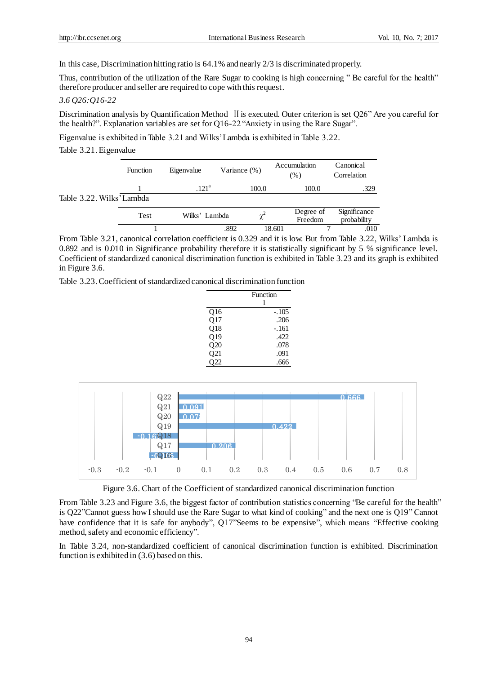In this case, Discrimination hitting ratio is 64.1% and nearly 2/3 is discriminated properly.

Thus, contribution of the utilization of the Rare Sugar to cooking is high concerning " Be careful for the health" therefore producer and seller are required to cope with this request.

*3.6 Q26:Q16-22*

Discrimination analysis by Quantification Method II is executed. Outer criterion is set Q26" Are you careful for the health?". Explanation variables are set for Q16-22 "Anxiety in using the Rare Sugar".

Eigenvalue is exhibited in Table 3.21 and Wilks' Lambda is exhibited in Table 3.22.

#### Table 3.21. Eigenvalue

|                           | Function | Eigenvalue    | Variance $(\% )$ |          | Accumulation<br>$( \% )$ | Canonical<br>Correlation    |
|---------------------------|----------|---------------|------------------|----------|--------------------------|-----------------------------|
|                           |          | $121^a$       |                  | 100.0    | 100.0                    | .329                        |
| Table 3.22. Wilks' Lambda |          |               |                  |          |                          |                             |
|                           | Test     | Wilks' Lambda |                  | $\chi^2$ | Degree of<br>Freedom     | Significance<br>probability |
|                           |          |               | .892             | 18.601   |                          | .010                        |

From Table 3.21, canonical correlation coefficient is 0.329 and it is low. But from Table 3.22, Wilks' Lambda is 0.892 and is 0.010 in Significance probability therefore it is statistically significant by 5 % significance level. Coefficient of standardized canonical discrimination function is exhibited in Table 3.23 and its graph is exhibited in Figure 3.6.

|                 | Function |
|-----------------|----------|
|                 |          |
| O16             | $-.105$  |
| 017             | .206     |
| O18             | -.161    |
| O <sub>19</sub> | .422     |
| O <sub>20</sub> | .078     |
| 021             | .091     |
| O22             | .666     |



Figure 3.6. Chart of the Coefficient of standardized canonical discrimination function

From Table 3.23 and Figure 3.6, the biggest factor of contribution statistics concerning "Be careful for the health" is Q22"Cannot guess how I should use the Rare Sugar to what kind of cooking" and the next one is Q19" Cannot have confidence that it is safe for anybody", Q17"Seems to be expensive", which means "Effective cooking method, safety and economic efficiency".

In Table 3.24, non-standardized coefficient of canonical discrimination function is exhibited. Discrimination function is exhibited in (3.6) based on this.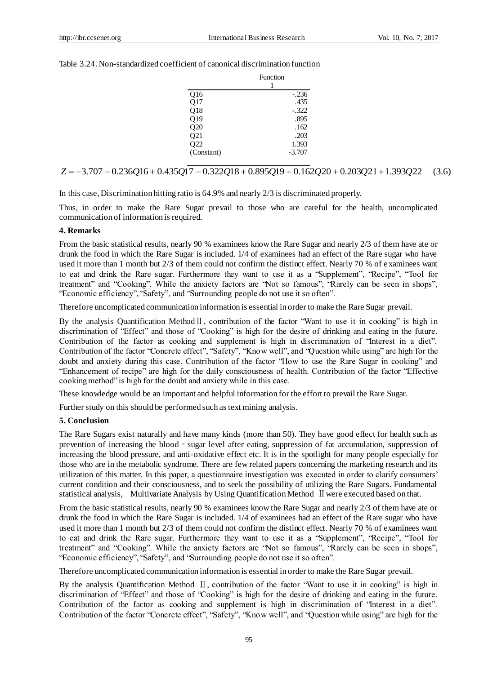| Table 3.24. Non-standardized coefficient of canonical discrimination function |  |  |  |  |  |  |  |  |  |  |  |  |  |  |  |
|-------------------------------------------------------------------------------|--|--|--|--|--|--|--|--|--|--|--|--|--|--|--|
|-------------------------------------------------------------------------------|--|--|--|--|--|--|--|--|--|--|--|--|--|--|--|

|                 | Function |
|-----------------|----------|
|                 |          |
| Q16             | $-.236$  |
| Q17             | .435     |
| O <sub>18</sub> | $-.322$  |
| O <sub>19</sub> | .895     |
| Q20             | .162     |
| Q <sub>21</sub> | .203     |
| O22             | 1.393    |
| (Constant)      | $-3.707$ |

# *Z* = -3.707 - 0.236*Q*16 + 0.435*Q*17 - 0.322*Q*18 + 0.895*Q*19 + 0.162*Q*20 + 0.203*Q*21 + 1.393*Q*22 (3.6)

In this case, Discrimination hitting ratio is 64.9% and nearly 2/3 is discriminated properly.

Thus, in order to make the Rare Sugar prevail to those who are careful for the health, uncomplicated communication of information is required.

#### **4. Remarks**

From the basic statistical results, nearly 90 % examinees know the Rare Sugar and nearly 2/3 of them have ate or drunk the food in which the Rare Sugar is included. 1/4 of examinees had an effect of the Rare sugar who have used it more than 1 month but 2/3 of them could not confirm the distinct effect. Nearly 70 % of examinees want to eat and drink the Rare sugar. Furthermore they want to use it as a "Supplement", "Recipe", "Tool for treatment" and "Cooking". While the anxiety factors are "Not so famous", "Rarely can be seen in shops", "Economic efficiency", "Safety", and "Surrounding people do not use it so often".

Therefore uncomplicated communication information is essential in order to make the Rare Sugar prevail.

By the analysis Quantification MethodⅡ, contribution of the factor "Want to use it in cooking" is high in discrimination of "Effect" and those of "Cooking" is high for the desire of drinking and eating in the future. Contribution of the factor as cooking and supplement is high in discrimination of "Interest in a diet". Contribution of the factor "Concrete effect", "Safety", "Know well", and "Question while using" are high for the doubt and anxiety during this case. Contribution of the factor "How to use the Rare Sugar in cooking" and "Enhancement of recipe" are high for the daily consciousness of health. Contribution of the factor "Effective cooking method" is high for the doubt and anxiety while in this case.

These knowledge would be an important and helpful information for the effort to prevail the Rare Sugar.

Further study on this should be performed such as text mining analysis.

#### **5. Conclusion**

The Rare Sugars exist naturally and have many kinds (more than 50). They have good effect for health such as prevention of increasing the blood - sugar level after eating, suppression of fat accumulation, suppression of increasing the blood pressure, and anti-oxidative effect etc. It is in the spotlight for many people especially for those who are in the metabolic syndrome. There are few related papers concerning the marketing research and its utilization of this matter. In this paper, a questionnaire investigation was executed in order to clarify consumers' current condition and their consciousness, and to seek the possibility of utilizing the Rare Sugars. Fundamental statistical analysis, Multivariate Analysis by Using Quantification Method II were executed based on that.

From the basic statistical results, nearly 90 % examinees know the Rare Sugar and nearly 2/3 of them have ate or drunk the food in which the Rare Sugar is included. 1/4 of examinees had an effect of the Rare sugar who have used it more than 1 month but 2/3 of them could not confirm the distinct effect. Nearly 70 % of examinees want to eat and drink the Rare sugar. Furthermore they want to use it as a "Supplement", "Recipe", "Tool for treatment" and "Cooking". While the anxiety factors are "Not so famous", "Rarely can be seen in shops", "Economic efficiency", "Safety", and "Surrounding people do not use it so often".

Therefore uncomplicated communication information is essential in order to make the Rare Sugar prevail.

By the analysis Quantification Method Ⅱ, contribution of the factor "Want to use it in cooking" is high in discrimination of "Effect" and those of "Cooking" is high for the desire of drinking and eating in the future. Contribution of the factor as cooking and supplement is high in discrimination of "Interest in a diet". Contribution of the factor "Concrete effect", "Safety", "Know well", and "Question while using" are high for the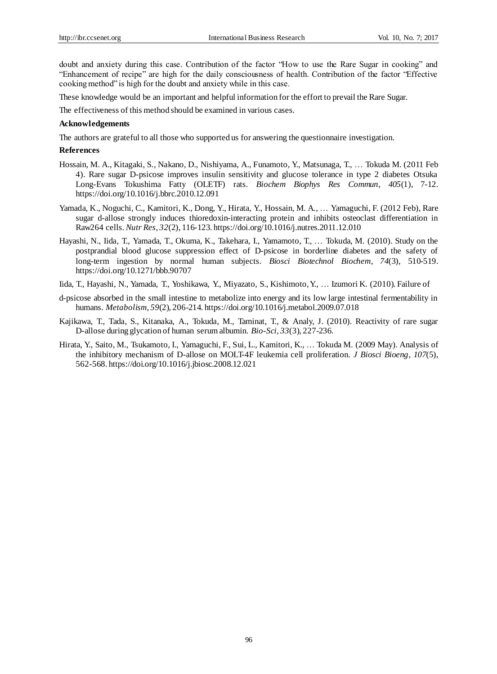doubt and anxiety during this case. Contribution of the factor "How to use the Rare Sugar in cooking" and "Enhancement of recipe" are high for the daily consciousness of health. Contribution of the factor "Effective cooking method" is high for the doubt and anxiety while in this case.

These knowledge would be an important and helpful information for the effort to prevail the Rare Sugar.

The effectiveness of this method should be examined in various cases.

#### **Acknowledgements**

The authors are grateful to all those who supported us for answering the questionnaire investigation.

#### **References**

- Hossain, M. A., Kitagaki, S., Nakano, D., Nishiyama, A., Funamoto, Y., Matsunaga, T., … Tokuda M. (2011 Feb 4). Rare sugar D-psicose improves insulin sensitivity and glucose tolerance in type 2 diabetes Otsuka Long-Evans Tokushima Fatty (OLETF) rats. *Biochem Biophys Res Commun*, *405*(1), 7-12. https://doi.org/10.1016/j.bbrc.2010.12.091
- Yamada, K., Noguchi, C., Kamitori, K., Dong, Y., Hirata, Y., Hossain, M. A., … Yamaguchi, F. (2012 Feb), Rare sugar d-allose strongly induces thioredoxin-interacting protein and inhibits osteoclast differentiation in Raw264 cells. *Nutr Res*, *32*(2), 116-123. https://doi.org/10.1016/j.nutres.2011.12.010
- Hayashi, N., Iida, T., Yamada, T., Okuma, K., Takehara, I., Yamamoto, T., … Tokuda, M. (2010). Study on the postprandial blood glucose suppression effect of D-psicose in borderline diabetes and the safety of long-term ingestion by normal human subjects. *Biosci Biotechnol Biochem*, *74*(3), 510-519. https://doi.org/10.1271/bbb.90707
- Iida, T., Hayashi, N., Yamada, T., Yoshikawa, Y., Miyazato, S., Kishimoto,Y., … Izumori K. (2010). Failure of
- d-psicose absorbed in the small intestine to metabolize into energy and its low large intestinal fermentability in humans. *Metabolism*, *59*(2), 206-214. https://doi.org/10.1016/j.metabol.2009.07.018
- Kajikawa, T., Tada, S., Kitanaka, A., Tokuda, M., Taminat, T., & Analy, J. (2010). Reactivity of rare sugar D-allose during glycation of human serum albumin. *Bio-Sci, 33*(3), 227-236.
- Hirata, Y., Saito, M., Tsukamoto, I., Yamaguchi, F., Sui, L., Kamitori, K., … Tokuda M. (2009 May). Analysis of the inhibitory mechanism of D-allose on MOLT-4F leukemia cell proliferation. *J Biosci Bioeng*, *107*(5), 562-568. https://doi.org/10.1016/j.jbiosc.2008.12.021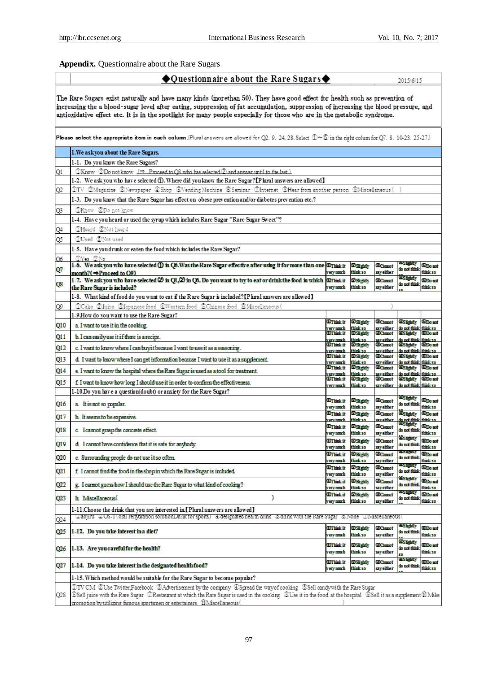## **Appendix.** Questionnaire about the Rare Sugars

◆Questionnaire about the Rare Sugars◆

2015/6/15

The Rare Sugars exist naturally and have many kinds (morethan 50). They have good effect for health such as prevention of increasing the a blood-sugar level after eating, suppression of fat accumulation, suppression of increasing the blood pressure, and antioxidative effect etc. It is in the spotlight for many people especially for those who are in the metabolic syndrome.

|                 | <b>Please select the appropriate item in each column</b> .(Plural answers are allowed for Q2, 9, 24, 28. Select $\oplus \sim \textcircled{2}$ in the right colum for Q7, 8, 10-23, 25-27)                                   |                               |                                |                                 |                                   |                             |  |  |  |  |
|-----------------|-----------------------------------------------------------------------------------------------------------------------------------------------------------------------------------------------------------------------------|-------------------------------|--------------------------------|---------------------------------|-----------------------------------|-----------------------------|--|--|--|--|
|                 | 1.We ask you about the Rare Sugars.                                                                                                                                                                                         |                               |                                |                                 |                                   |                             |  |  |  |  |
|                 | 1-1.Do you know the Rare Sugars?                                                                                                                                                                                            |                               |                                |                                 |                                   |                             |  |  |  |  |
| Q1              | $\mathbb O$ Know $\mathbb O$ Do not know $\Rightarrow$ Proceed to Q8 who has selected $\mathbb O$ and answer until to the last $\mathbb O$                                                                                  |                               |                                |                                 |                                   |                             |  |  |  |  |
|                 | 1-2.   We ask you who have selected ①. Where did you know the Rare Sugar? 【P lural answers are allowed】                                                                                                                     |                               |                                |                                 |                                   |                             |  |  |  |  |
| Q2              | @Magazine @Newspaper ④Shop ©Vending Machine ©Seminar ⑦Internet ⑧Hear from another person ⑨Miscellaneous<br>ΦTV                                                                                                              |                               |                                |                                 |                                   |                             |  |  |  |  |
|                 | ?.3. Do you know that the Rare Sugar has effect on obese prevention and/or diabetes prevention etc.?                                                                                                                        |                               |                                |                                 |                                   |                             |  |  |  |  |
| Q3              | (DKnow) (2Do not know                                                                                                                                                                                                       |                               |                                |                                 |                                   |                             |  |  |  |  |
|                 | 1-4. Have you heard or used the syrup which includes Rare Sugar "Rare Sugar Sweet"?                                                                                                                                         |                               |                                |                                 |                                   |                             |  |  |  |  |
| Q4              | ①Heard ②Not heard                                                                                                                                                                                                           |                               |                                |                                 |                                   |                             |  |  |  |  |
| Q٥              | ①Used ②Not used                                                                                                                                                                                                             |                               |                                |                                 |                                   |                             |  |  |  |  |
|                 | 1-5. Have you drunk or eaten the food which includes the Rare Sugar?                                                                                                                                                        |                               |                                |                                 |                                   |                             |  |  |  |  |
| <u>06</u>       | (DYes ②No                                                                                                                                                                                                                   |                               |                                |                                 | exightly                          |                             |  |  |  |  |
| Q7              | 1-6. We ask you who have selected ① in Q6.Was the Rare Sugar effective after using it for more than one O $\tau$ nink it<br>month?(⇒Proceed to O9)                                                                          | ery much                      | 20 Slightly<br>think so        | @Camuot<br>say either           | do not think                      | <b>CDDo not</b><br>think so |  |  |  |  |
|                 | 1-7. We ask you who have selected 2 in Q1,2 in Q6. Do you want to try to eat or drink the food in which                                                                                                                     | <b>OThink</b> it              | 20 Slightly                    | <b>23 Cannot</b>                | <b>DSlightly</b><br>do not think  | (b)Do not                   |  |  |  |  |
| Q8              | the Rare Sugar is included?                                                                                                                                                                                                 | ery much                      | think so                       | say either                      |                                   | think so                    |  |  |  |  |
|                 | 1-8.   What kind of food do you want to eat if the Rare Sugar is included? [P lural answers are allowed]                                                                                                                    |                               |                                |                                 |                                   |                             |  |  |  |  |
| Q9              | (DCake ②Jujce ③Japanese food ④Western food ⑤Chinese food ⑥Miscellaneous                                                                                                                                                     |                               |                                |                                 |                                   |                             |  |  |  |  |
|                 | -9 How do you want to use the Rare Sugar?                                                                                                                                                                                   | <b>O</b> Think it             | 20 Slightly                    | <b>@Camot</b>                   | <b>OShehfly</b>                   | <b>CDonot</b>               |  |  |  |  |
| Q10             | a I want to use it in the cooking.                                                                                                                                                                                          | erv much<br><b>OThink it</b>  | hink so                        | sav either.                     | do not think                      | think so                    |  |  |  |  |
| Q11             | b. I can easily use it if there is a recipe.                                                                                                                                                                                | rerv much                     | <b>20 Slightly</b><br>hink so  | <b>COCannot</b><br>sav either.  | <b>CoSlightly</b><br>do not think | <b>CDDo not</b><br>think so |  |  |  |  |
| Q12             | c. I want to know where I can buy it because I want to use it as a seasoning.                                                                                                                                               | OT hink it<br>rerv much       | 20 Slightly<br>think so        | <b>@Camot</b><br>sav either.    | <b>OSlightly</b><br>do not think  | <b>GDo not</b><br>think so  |  |  |  |  |
| Q13             | d. I want to know where I can get information because I want to use it as a supplement.                                                                                                                                     | <b>OThink it</b><br>rerv much | 20 Slightly<br>hink so         | <b>@Camot</b><br>say either.    | <b>COSTEMITY</b><br>do not think  | <b>GDo not</b><br>think so  |  |  |  |  |
| Q14             | e. I want to know the hospital where the Rare Sugar is used as a tool for treatment.                                                                                                                                        | OThink it                     | 22 Slightly                    | <b>Co</b> Cannot                | <b>OShendy</b>                    | <b>CD<sub>Do not</sub></b>  |  |  |  |  |
|                 |                                                                                                                                                                                                                             | 'erv much<br>OT hink it       | hink so<br><b>20 Slightly</b>  | say either.<br><b>23 Cannot</b> | do not think<br><b>OSlightly</b>  | think so<br><b>GDo not</b>  |  |  |  |  |
| Q15             | f I want to know how long I should use it in order to confirm the effectiveness.<br>l-10.Do you have a question(doubt) or anxiety for the Rare Sugar?                                                                       | erv much                      | think so                       | say either                      | do not think                      | think so                    |  |  |  |  |
|                 |                                                                                                                                                                                                                             | <b>O</b> Think it             | 20 Shightly                    | @Camot                          | <b>OSlightly</b>                  | <b>GDo not</b>              |  |  |  |  |
| Q16             | a It is not so popular.                                                                                                                                                                                                     | rery much                     | think so                       | say either                      | do not think                      | think so                    |  |  |  |  |
| Q17             | b. It seems to be expensive.                                                                                                                                                                                                | <b>OThink</b> it<br>erv much  | <b>20 Slightly</b><br>think so | <b>@Camot</b><br>say either.    | <b>OSlightly</b><br>da nat think  | <b>CDo not</b><br>think so  |  |  |  |  |
| Q18             | c. I cannot grasp the concrete effect.                                                                                                                                                                                      | OT hink it                    | 20 Slightly                    | <b>@Camot</b>                   | <b>D</b> Slightly<br>do not think | <b>ODo not</b>              |  |  |  |  |
|                 |                                                                                                                                                                                                                             | ery much                      | think so                       | say either                      | alisngnny                         | think so<br><b>CDo</b> not  |  |  |  |  |
| Q19             | d. I cannot have confidence that it is safe for anybody.                                                                                                                                                                    | <b>DT hink it</b><br>ery much | <b>20 Slightly</b><br>think so | <b>@Camot</b><br>say either     | do not think                      | think so                    |  |  |  |  |
| Q20             | e. Surrounding people do not use it so often.                                                                                                                                                                               | <b>DT hink it</b><br>erv much | 20 Slightly                    | <b>@Camot</b><br>say eithe r    | absnemy<br>do not think           | <b>CDo not</b><br>think so  |  |  |  |  |
|                 |                                                                                                                                                                                                                             | DT hink it                    | think so<br><b>20 Slightly</b> | <b>@Campot</b>                  | <b>A.</b> Shently                 | <b>DDo not</b>              |  |  |  |  |
| Q21             | f. I cannot find the food in the shop in which the Rare Sugar is included.                                                                                                                                                  | ery much                      | think so                       | say either                      | do not think<br><b>O</b> Shghtly  | think so                    |  |  |  |  |
| Q22             | g. I cannot guess how I should use the Rare Sugar to what kind of cooking?                                                                                                                                                  | OThink it<br>ery much         | 20 Slightly<br>think so        | <b>@Camot</b><br>say either     | do not think                      | <b>CDo not</b><br>think so  |  |  |  |  |
| Q23             | )<br>h Miscellaneous(                                                                                                                                                                                                       | <b>OThink it</b>              | <b>20 Slightly</b>             | <b>SDCannot</b>                 | <b>A</b> Shghtly<br>do not think  | <b>(b)Do not</b>            |  |  |  |  |
|                 |                                                                                                                                                                                                                             | r erv much                    | think so                       | say either                      |                                   | think so                    |  |  |  |  |
|                 | 1-11.Choose the drink that you are interested in.[Plural answers are allowed]<br>Uaojiru (2008-1 (oral rehydration solutionDnnk for sports) (Ddesignated health drink (Q)dnnk with the Kare Sugar (Q/None (U/Miscellaneous) |                               |                                |                                 |                                   |                             |  |  |  |  |
| Q <sub>24</sub> |                                                                                                                                                                                                                             | <b>OThink</b> it              | 22 Slightly                    | <b>@Camot</b>                   | <b>A)Slightly</b>                 | <b>CDonot</b>               |  |  |  |  |
| Q25             | 1-12. Do you take interest in a diet?                                                                                                                                                                                       | rery much                     | think so                       | say eithe r                     | do not think                      | think so                    |  |  |  |  |
|                 |                                                                                                                                                                                                                             | <b>DT hink it</b>             | ØSlightly                      | <b>@Camot</b>                   | <b>O</b> Slightly                 | <b>GDo not</b>              |  |  |  |  |
| Q26             | 1-13. Are you careful for the health?                                                                                                                                                                                       | rery much                     | think so                       | say either                      | do not think<br>50                | think so                    |  |  |  |  |
| Q27             | 1-14. Do you take interest in the designated health food?                                                                                                                                                                   | OT hink it<br>rery much       | <b>20 Slightly</b><br>think so | <b>@Camot</b><br>say either     | <b>AJShghtiy</b><br>do not think  | <b>CDo not</b><br>think so  |  |  |  |  |
|                 | 1-15. Which method would be suitable for the Rare Sugar to become popular?                                                                                                                                                  |                               |                                |                                 |                                   |                             |  |  |  |  |
|                 | OTV CM (2) Use Twitter,Facebook (2) Advertisement by the company (2) Spread the wayof cooking (2) Sell candywith the Rare Sugar                                                                                             |                               |                                |                                 |                                   |                             |  |  |  |  |
| Q28             | © Sell juice with the Rare Sugar © Restaurant at which the Rare Sugar is used in the cooking © Use it in the food at the hospital © Sell it as a supplement © Make                                                          |                               |                                |                                 |                                   |                             |  |  |  |  |
|                 | rromotion byutilizing famous sportsmen or entertainers. (IDMscellaneous)                                                                                                                                                    |                               |                                |                                 |                                   |                             |  |  |  |  |